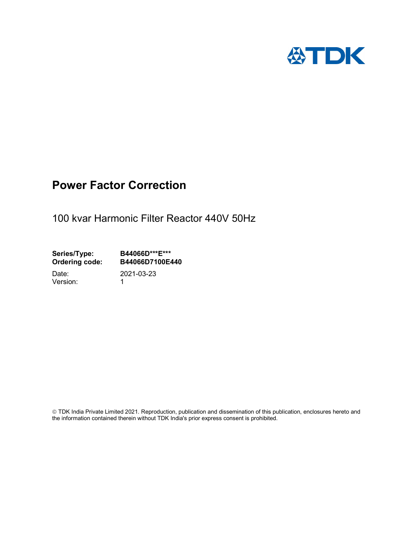

# Power Factor Correction

100 kvar Harmonic Filter Reactor 440V 50Hz

Series/Type: B44066D\*\*\*E\*\*\*<br>Ordering code: B44066D7100E4 B44066D7100E440

Version: 1

Date: 2021-03-23

 TDK India Private Limited 2021. Reproduction, publication and dissemination of this publication, enclosures hereto and the information contained therein without TDK India's prior express consent is prohibited.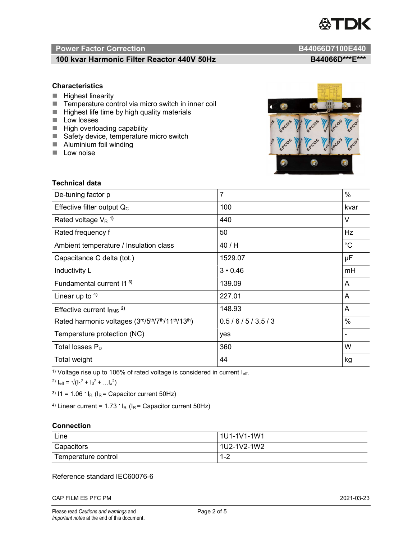

# Power Factor Correction and B44066D7100E440

# 100 kvar Harmonic Filter Reactor 440V 50Hz BA4066D\*\*\*E\*\*\*

### **Characteristics**

- $H$  Highest linearity
- Temperature control via micro switch in inner coil
- $\blacksquare$  Highest life time by high quality materials
- **Low losses**
- $\blacksquare$  High overloading capability
- Safety device, temperature micro switch
- **Aluminium foil winding**
- **Low noise**



| Technical data                                  |                |                              |  |
|-------------------------------------------------|----------------|------------------------------|--|
| De-tuning factor p                              | $\overline{7}$ | $\%$                         |  |
| Effective filter output $Q_C$                   | 100            | kvar                         |  |
| Rated voltage $V_R$ <sup>1)</sup>               | 440            | V                            |  |
| Rated frequency f                               | 50             | Hz                           |  |
| Ambient temperature / Insulation class          | 40 / H         | $^{\circ}C$                  |  |
| Capacitance C delta (tot.)                      | 1529.07        | μF                           |  |
| Inductivity L                                   | $3 \cdot 0.46$ | mH                           |  |
| Fundamental current 11 <sup>3)</sup>            | 139.09         | A                            |  |
| Linear up to $4$ )                              | 227.01         | A                            |  |
| Effective current $IRMS$ <sup>2)</sup>          | 148.93         | Α                            |  |
| Rated harmonic voltages (3rd/5th/7th/11th/13th) | 0.5/6/5/3.5/3  | %                            |  |
| Temperature protection (NC)                     | yes            | $\qquad \qquad \blacksquare$ |  |
| Total losses $P_D$                              | 360            | W                            |  |
| Total weight                                    | 44             | kg                           |  |

<sup>1)</sup> Voltage rise up to 106% of rated voltage is considered in current  $I_{\text{eff}}$ .

<sup>2)</sup>  $I_{eff} = \sqrt{(I_1^2 + I_3^2 + ... I_x^2)}$ 

<sup>3)</sup>  $11 = 1.06$   $\cdot$   $I_R$  ( $I_R$  = Capacitor current 50Hz)

<sup>4)</sup> Linear current =  $1.73$   $\cdot$  I<sub>R</sub> (I<sub>R</sub> = Capacitor current 50Hz)

#### **Connection**

| Line                | l 1U1-1V1-1W1       |
|---------------------|---------------------|
| Capacitors          | l 1U2-1V2-1W2       |
| Temperature control | <u> 4 ຕ</u><br>ے- ا |

### Reference standard IEC60076-6

CAP FILM ES PFC PM 2021-03-23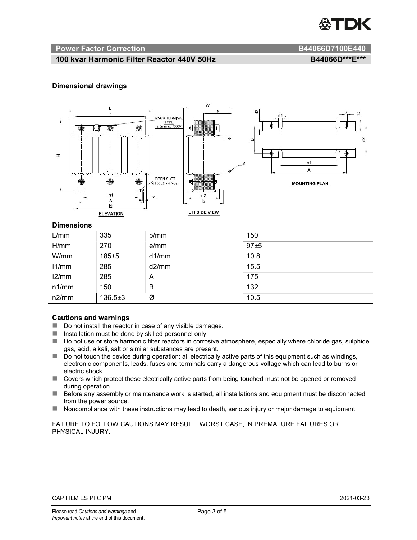

#### Power Factor Correction **B44066D7100E440**

# 100 kvar Harmonic Filter Reactor 440V 50Hz BA4066D\*\*\*E\*\*\*

#### Dimensional drawings



#### **Dimensions**

| L/mm  | 335           | b/mm  | 150  |
|-------|---------------|-------|------|
| H/mm  | 270           | e/mm  | 97±5 |
| W/mm  | $185 + 5$     | d1/mm | 10.8 |
| 11/mm | 285           | d2/mm | 15.5 |
| 12/mm | 285           | A     | 175  |
| n1/mm | 150           | B     | 132  |
| n2/mm | $136.5 \pm 3$ | Ø     | 10.5 |

#### Cautions and warnings

- Do not install the reactor in case of any visible damages.
- $\blacksquare$  Installation must be done by skilled personnel only.
- Do not use or store harmonic filter reactors in corrosive atmosphere, especially where chloride gas, sulphide gas, acid, alkali, salt or similar substances are present.
- Do not touch the device during operation: all electrically active parts of this equipment such as windings, electronic components, leads, fuses and terminals carry a dangerous voltage which can lead to burns or electric shock.
- Covers which protect these electrically active parts from being touched must not be opened or removed during operation.
- Before any assembly or maintenance work is started, all installations and equipment must be disconnected from the power source.
- Noncompliance with these instructions may lead to death, serious injury or major damage to equipment.

FAILURE TO FOLLOW CAUTIONS MAY RESULT, WORST CASE, IN PREMATURE FAILURES OR PHYSICAL INJURY.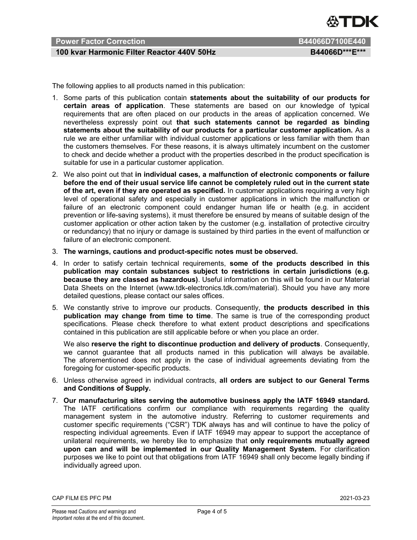

# Power Factor Correction B44066D7100E440

# 100 kvar Harmonic Filter Reactor 440V 50Hz BA4066D\*\*\*E\*\*\*

The following applies to all products named in this publication:

- 1. Some parts of this publication contain statements about the suitability of our products for certain areas of application. These statements are based on our knowledge of typical requirements that are often placed on our products in the areas of application concerned. We nevertheless expressly point out that such statements cannot be regarded as binding statements about the suitability of our products for a particular customer application. As a rule we are either unfamiliar with individual customer applications or less familiar with them than the customers themselves. For these reasons, it is always ultimately incumbent on the customer to check and decide whether a product with the properties described in the product specification is suitable for use in a particular customer application.
- 2. We also point out that in individual cases, a malfunction of electronic components or failure before the end of their usual service life cannot be completely ruled out in the current state of the art, even if they are operated as specified. In customer applications requiring a very high level of operational safety and especially in customer applications in which the malfunction or failure of an electronic component could endanger human life or health (e.g. in accident prevention or life-saving systems), it must therefore be ensured by means of suitable design of the customer application or other action taken by the customer (e.g. installation of protective circuitry or redundancy) that no injury or damage is sustained by third parties in the event of malfunction or failure of an electronic component.
- 3. The warnings, cautions and product-specific notes must be observed.
- 4. In order to satisfy certain technical requirements, some of the products described in this publication may contain substances subject to restrictions in certain jurisdictions (e.g. because they are classed as hazardous). Useful information on this will be found in our Material Data Sheets on the Internet (www.tdk-electronics.tdk.com/material). Should you have any more detailed questions, please contact our sales offices.
- 5. We constantly strive to improve our products. Consequently, the products described in this publication may change from time to time. The same is true of the corresponding product specifications. Please check therefore to what extent product descriptions and specifications contained in this publication are still applicable before or when you place an order.

We also reserve the right to discontinue production and delivery of products. Consequently, we cannot guarantee that all products named in this publication will always be available. The aforementioned does not apply in the case of individual agreements deviating from the foregoing for customer-specific products.

- 6. Unless otherwise agreed in individual contracts, all orders are subject to our General Terms and Conditions of Supply.
- 7. Our manufacturing sites serving the automotive business apply the IATF 16949 standard. The IATF certifications confirm our compliance with requirements regarding the quality management system in the automotive industry. Referring to customer requirements and customer specific requirements ("CSR") TDK always has and will continue to have the policy of respecting individual agreements. Even if IATF 16949 may appear to support the acceptance of unilateral requirements, we hereby like to emphasize that only requirements mutually agreed upon can and will be implemented in our Quality Management System. For clarification purposes we like to point out that obligations from IATF 16949 shall only become legally binding if individually agreed upon.